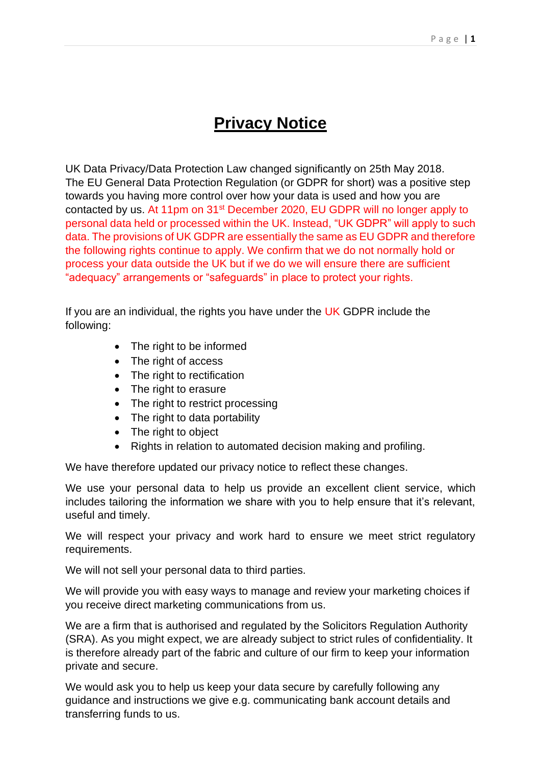# **Privacy Notice**

UK Data Privacy/Data Protection Law changed significantly on 25th May 2018. The EU General Data Protection Regulation (or GDPR for short) was a positive step towards you having more control over how your data is used and how you are contacted by us. At 11pm on 31st December 2020, EU GDPR will no longer apply to personal data held or processed within the UK. Instead, "UK GDPR" will apply to such data. The provisions of UK GDPR are essentially the same as EU GDPR and therefore the following rights continue to apply. We confirm that we do not normally hold or process your data outside the UK but if we do we will ensure there are sufficient "adequacy" arrangements or "safeguards" in place to protect your rights.

If you are an individual, the rights you have under the  $UK$  GDPR include the following:

- The right to be informed
- The right of access
- The right to rectification
- The right to erasure
- The right to restrict processing
- The right to data portability
- The right to object
- Rights in relation to automated decision making and profiling.

We have therefore updated our privacy notice to reflect these changes.

We use your personal data to help us provide an excellent client service, which includes tailoring the information we share with you to help ensure that it's relevant, useful and timely.

We will respect your privacy and work hard to ensure we meet strict regulatory requirements.

We will not sell your personal data to third parties.

We will provide you with easy ways to manage and review your marketing choices if you receive direct marketing communications from us.

We are a firm that is authorised and regulated by the Solicitors Regulation Authority (SRA). As you might expect, we are already subject to strict rules of confidentiality. It is therefore already part of the fabric and culture of our firm to keep your information private and secure.

We would ask you to help us keep your data secure by carefully following any guidance and instructions we give e.g. communicating bank account details and transferring funds to us.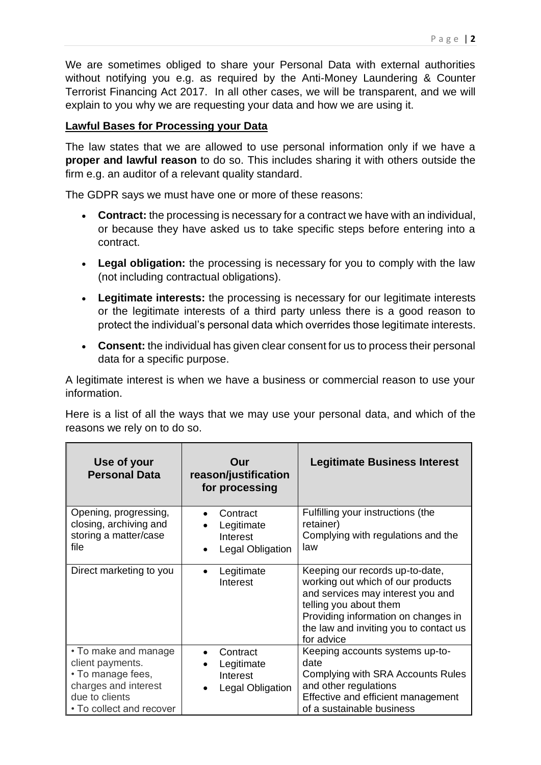We are sometimes obliged to share your Personal Data with external authorities without notifying you e.g. as required by the Anti-Money Laundering & Counter Terrorist Financing Act 2017. In all other cases, we will be transparent, and we will explain to you why we are requesting your data and how we are using it.

#### **Lawful Bases for Processing your Data**

The law states that we are allowed to use personal information only if we have a **proper and lawful reason** to do so. This includes sharing it with others outside the firm e.g. an auditor of a relevant quality standard.

The GDPR says we must have one or more of these reasons:

- **Contract:** the processing is necessary for a contract we have with an individual, or because they have asked us to take specific steps before entering into a contract.
- **Legal obligation:** the processing is necessary for you to comply with the law (not including contractual obligations).
- **Legitimate interests:** the processing is necessary for our legitimate interests or the legitimate interests of a third party unless there is a good reason to protect the individual's personal data which overrides those legitimate interests.
- **Consent:** the individual has given clear consent for us to process their personal data for a specific purpose.

A legitimate interest is when we have a business or commercial reason to use your information.

Here is a list of all the ways that we may use your personal data, and which of the reasons we rely on to do so.

| Use of your<br><b>Personal Data</b>                                                                                                 | Our<br>reason/justification<br>for processing          | <b>Legitimate Business Interest</b>                                                                                                                                                                                                |
|-------------------------------------------------------------------------------------------------------------------------------------|--------------------------------------------------------|------------------------------------------------------------------------------------------------------------------------------------------------------------------------------------------------------------------------------------|
| Opening, progressing,<br>closing, archiving and<br>storing a matter/case<br>file                                                    | Contract<br>Legitimate<br>Interest<br>Legal Obligation | Fulfilling your instructions (the<br>retainer)<br>Complying with regulations and the<br>law                                                                                                                                        |
| Direct marketing to you                                                                                                             | Legitimate<br>Interest                                 | Keeping our records up-to-date,<br>working out which of our products<br>and services may interest you and<br>telling you about them<br>Providing information on changes in<br>the law and inviting you to contact us<br>for advice |
| • To make and manage<br>client payments.<br>• To manage fees,<br>charges and interest<br>due to clients<br>• To collect and recover | Contract<br>Legitimate<br>Interest<br>Legal Obligation | Keeping accounts systems up-to-<br>date<br>Complying with SRA Accounts Rules<br>and other regulations<br>Effective and efficient management<br>of a sustainable business                                                           |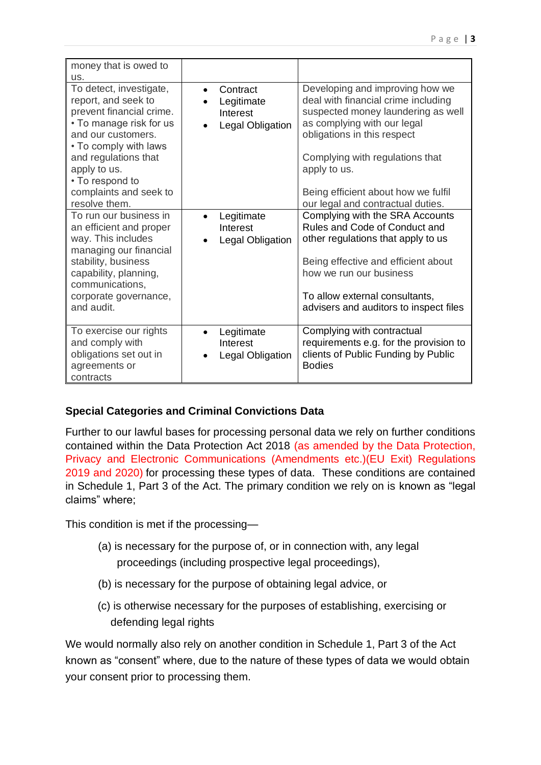| money that is owed to<br>us.                                                                                                                                                                                                                               |                                                                     |                                                                                                                                                                                                                                                                                                           |
|------------------------------------------------------------------------------------------------------------------------------------------------------------------------------------------------------------------------------------------------------------|---------------------------------------------------------------------|-----------------------------------------------------------------------------------------------------------------------------------------------------------------------------------------------------------------------------------------------------------------------------------------------------------|
| To detect, investigate,<br>report, and seek to<br>prevent financial crime.<br>• To manage risk for us<br>and our customers.<br>• To comply with laws<br>and regulations that<br>apply to us.<br>• To respond to<br>complaints and seek to<br>resolve them. | Contract<br>$\bullet$<br>Legitimate<br>Interest<br>Legal Obligation | Developing and improving how we<br>deal with financial crime including<br>suspected money laundering as well<br>as complying with our legal<br>obligations in this respect<br>Complying with regulations that<br>apply to us.<br>Being efficient about how we fulfil<br>our legal and contractual duties. |
| To run our business in<br>an efficient and proper<br>way. This includes<br>managing our financial<br>stability, business<br>capability, planning,<br>communications,<br>corporate governance,<br>and audit.                                                | Legitimate<br>Interest<br>Legal Obligation                          | Complying with the SRA Accounts<br>Rules and Code of Conduct and<br>other regulations that apply to us<br>Being effective and efficient about<br>how we run our business<br>To allow external consultants,<br>advisers and auditors to inspect files                                                      |
| To exercise our rights<br>and comply with<br>obligations set out in<br>agreements or<br>contracts                                                                                                                                                          | Legitimate<br>Interest<br>Legal Obligation                          | Complying with contractual<br>requirements e.g. for the provision to<br>clients of Public Funding by Public<br><b>Bodies</b>                                                                                                                                                                              |

### **Special Categories and Criminal Convictions Data**

Further to our lawful bases for processing personal data we rely on further conditions contained within the Data Protection Act 2018 (as amended by the Data Protection, Privacy and Electronic Communications (Amendments etc.)(EU Exit) Regulations 2019 and 2020) for processing these types of data. These conditions are contained in Schedule 1, Part 3 of the Act. The primary condition we rely on is known as "legal claims" where;

This condition is met if the processing—

- (a) is necessary for the purpose of, or in connection with, any legal proceedings (including prospective legal proceedings),
- (b) is necessary for the purpose of obtaining legal advice, or
- (c) is otherwise necessary for the purposes of establishing, exercising or defending legal rights

We would normally also rely on another condition in Schedule 1, Part 3 of the Act known as "consent" where, due to the nature of these types of data we would obtain your consent prior to processing them.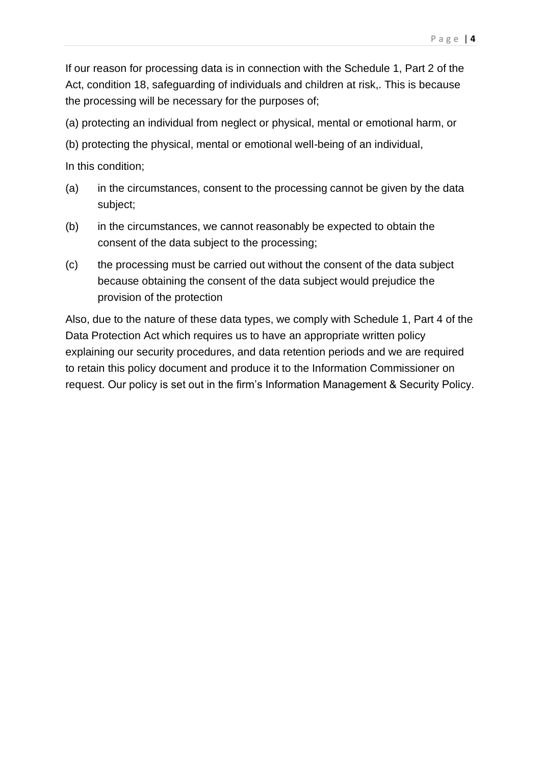If our reason for processing data is in connection with the Schedule 1, Part 2 of the Act, condition 18, safeguarding of individuals and children at risk,. This is because the processing will be necessary for the purposes of;

(a) protecting an individual from neglect or physical, mental or emotional harm, or

(b) protecting the physical, mental or emotional well-being of an individual,

In this condition;

- (a) in the circumstances, consent to the processing cannot be given by the data subject;
- (b) in the circumstances, we cannot reasonably be expected to obtain the consent of the data subject to the processing;
- (c) the processing must be carried out without the consent of the data subject because obtaining the consent of the data subject would prejudice the provision of the protection

Also, due to the nature of these data types, we comply with Schedule 1, Part 4 of the Data Protection Act which requires us to have an appropriate written policy explaining our security procedures, and data retention periods and we are required to retain this policy document and produce it to the Information Commissioner on request. Our policy is set out in the firm's Information Management & Security Policy.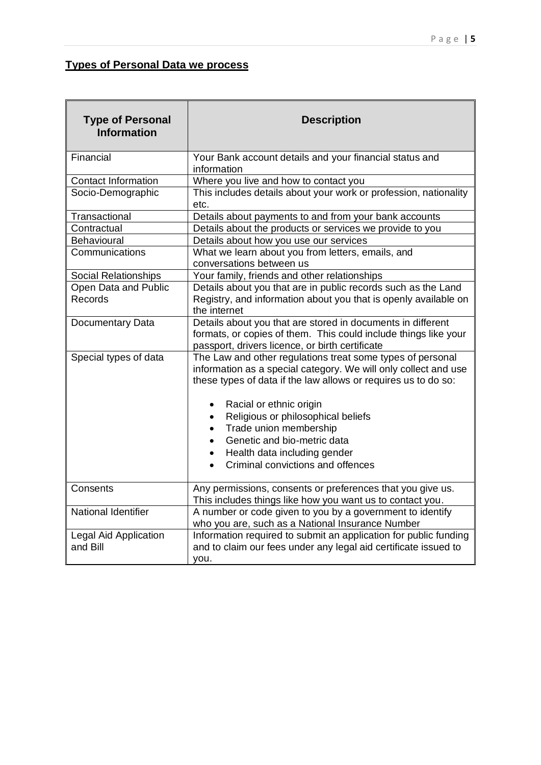# **Types of Personal Data we process**

| <b>Type of Personal</b><br><b>Information</b> | <b>Description</b>                                                                                                                                                                                                                                                                                                                                                     |  |  |
|-----------------------------------------------|------------------------------------------------------------------------------------------------------------------------------------------------------------------------------------------------------------------------------------------------------------------------------------------------------------------------------------------------------------------------|--|--|
| Financial                                     | Your Bank account details and your financial status and<br>information                                                                                                                                                                                                                                                                                                 |  |  |
| <b>Contact Information</b>                    | Where you live and how to contact you                                                                                                                                                                                                                                                                                                                                  |  |  |
| Socio-Demographic                             | This includes details about your work or profession, nationality<br>etc.                                                                                                                                                                                                                                                                                               |  |  |
| Transactional                                 | Details about payments to and from your bank accounts                                                                                                                                                                                                                                                                                                                  |  |  |
| Contractual                                   | Details about the products or services we provide to you                                                                                                                                                                                                                                                                                                               |  |  |
| Behavioural                                   | Details about how you use our services                                                                                                                                                                                                                                                                                                                                 |  |  |
| Communications                                | What we learn about you from letters, emails, and<br>conversations between us                                                                                                                                                                                                                                                                                          |  |  |
| Social Relationships                          | Your family, friends and other relationships                                                                                                                                                                                                                                                                                                                           |  |  |
| Open Data and Public<br>Records               | Details about you that are in public records such as the Land<br>Registry, and information about you that is openly available on<br>the internet                                                                                                                                                                                                                       |  |  |
| Documentary Data                              | Details about you that are stored in documents in different<br>formats, or copies of them. This could include things like your<br>passport, drivers licence, or birth certificate                                                                                                                                                                                      |  |  |
| Special types of data                         | The Law and other regulations treat some types of personal<br>information as a special category. We will only collect and use<br>these types of data if the law allows or requires us to do so:<br>Racial or ethnic origin<br>Religious or philosophical beliefs<br>Trade union membership<br>$\bullet$<br>Genetic and bio-metric data<br>Health data including gender |  |  |
|                                               | Criminal convictions and offences                                                                                                                                                                                                                                                                                                                                      |  |  |
| Consents                                      | Any permissions, consents or preferences that you give us.<br>This includes things like how you want us to contact you.                                                                                                                                                                                                                                                |  |  |
| <b>National Identifier</b>                    | A number or code given to you by a government to identify<br>who you are, such as a National Insurance Number                                                                                                                                                                                                                                                          |  |  |
| <b>Legal Aid Application</b><br>and Bill      | Information required to submit an application for public funding<br>and to claim our fees under any legal aid certificate issued to<br>you.                                                                                                                                                                                                                            |  |  |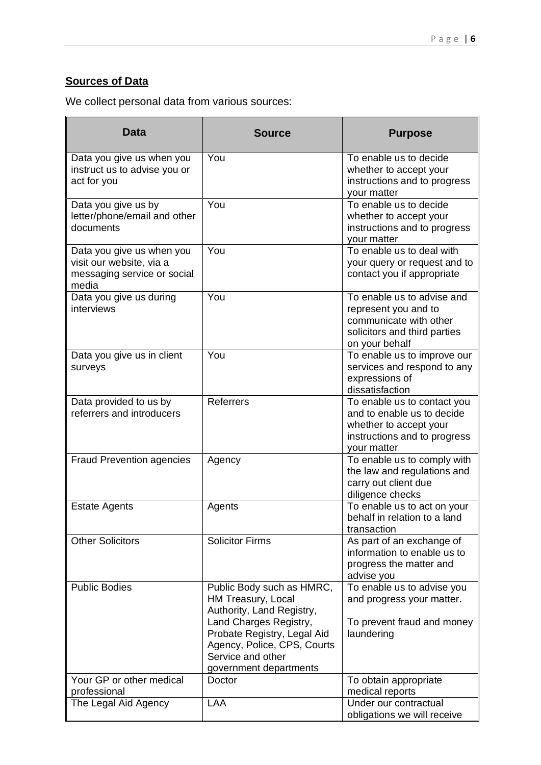# **Sources of Data**

We collect personal data from various sources:

| <b>Data</b>                                                                                   | <b>Source</b>                                                                                                                                                                                                       | <b>Purpose</b>                                                                                                                     |
|-----------------------------------------------------------------------------------------------|---------------------------------------------------------------------------------------------------------------------------------------------------------------------------------------------------------------------|------------------------------------------------------------------------------------------------------------------------------------|
| Data you give us when you<br>instruct us to advise you or<br>act for you                      | You                                                                                                                                                                                                                 | To enable us to decide<br>whether to accept your<br>instructions and to progress<br>vour matter                                    |
| Data you give us by<br>letter/phone/email and other<br>documents                              | You                                                                                                                                                                                                                 | To enable us to decide<br>whether to accept your<br>instructions and to progress<br>your matter                                    |
| Data you give us when you<br>visit our website, via a<br>messaging service or social<br>media | You                                                                                                                                                                                                                 | To enable us to deal with<br>your query or request and to<br>contact you if appropriate                                            |
| Data you give us during<br>interviews                                                         | You                                                                                                                                                                                                                 | To enable us to advise and<br>represent you and to<br>communicate with other<br>solicitors and third parties<br>on your behalf     |
| Data you give us in client<br>surveys                                                         | You                                                                                                                                                                                                                 | To enable us to improve our<br>services and respond to any<br>expressions of<br>dissatisfaction                                    |
| Data provided to us by<br>referrers and introducers                                           | Referrers                                                                                                                                                                                                           | To enable us to contact you<br>and to enable us to decide<br>whether to accept your<br>instructions and to progress<br>your matter |
| <b>Fraud Prevention agencies</b>                                                              | Agency                                                                                                                                                                                                              | To enable us to comply with<br>the law and regulations and<br>carry out client due<br>diligence checks                             |
| <b>Estate Agents</b>                                                                          | Agents                                                                                                                                                                                                              | To enable us to act on your<br>behalf in relation to a land<br>transaction                                                         |
| <b>Other Solicitors</b>                                                                       | <b>Solicitor Firms</b>                                                                                                                                                                                              | As part of an exchange of<br>information to enable us to<br>progress the matter and<br>advise you                                  |
| <b>Public Bodies</b>                                                                          | Public Body such as HMRC,<br>HM Treasury, Local<br>Authority, Land Registry,<br>Land Charges Registry,<br>Probate Registry, Legal Aid<br>Agency, Police, CPS, Courts<br>Service and other<br>government departments | To enable us to advise you<br>and progress your matter.<br>To prevent fraud and money<br>laundering                                |
| Your GP or other medical<br>professional                                                      | Doctor                                                                                                                                                                                                              | To obtain appropriate<br>medical reports                                                                                           |
| The Legal Aid Agency                                                                          | LAA                                                                                                                                                                                                                 | Under our contractual<br>obligations we will receive                                                                               |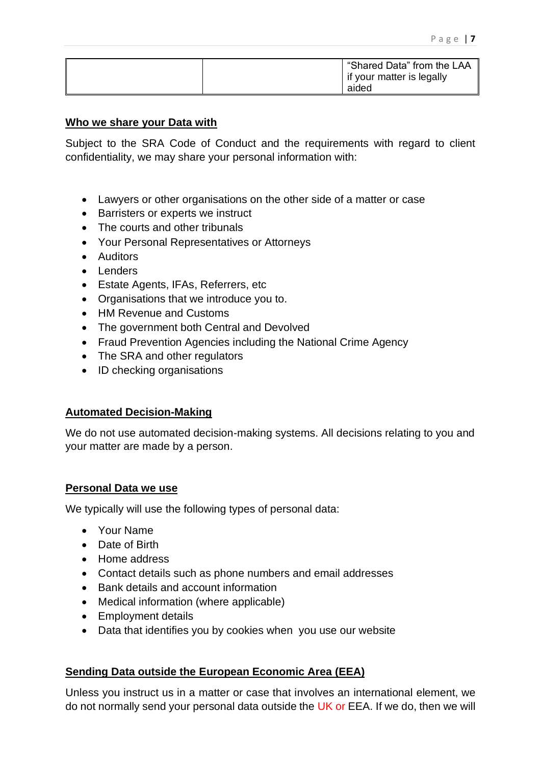|  | "Shared Data" from the LAA<br>if your matter is legally |
|--|---------------------------------------------------------|
|  | aided                                                   |

#### **Who we share your Data with**

Subject to the SRA Code of Conduct and the requirements with regard to client confidentiality, we may share your personal information with:

- Lawyers or other organisations on the other side of a matter or case
- Barristers or experts we instruct
- The courts and other tribunals
- Your Personal Representatives or Attorneys
- Auditors
- Lenders
- Estate Agents, IFAs, Referrers, etc
- Organisations that we introduce you to.
- HM Revenue and Customs
- The government both Central and Devolved
- Fraud Prevention Agencies including the National Crime Agency
- The SRA and other regulators
- ID checking organisations

#### **Automated Decision-Making**

We do not use automated decision-making systems. All decisions relating to you and your matter are made by a person.

#### **Personal Data we use**

We typically will use the following types of personal data:

- Your Name
- Date of Birth
- Home address
- Contact details such as phone numbers and email addresses
- Bank details and account information
- Medical information (where applicable)
- Employment details
- Data that identifies you by cookies when you use our website

#### **Sending Data outside the European Economic Area (EEA)**

Unless you instruct us in a matter or case that involves an international element, we do not normally send your personal data outside the UK or EEA. If we do, then we will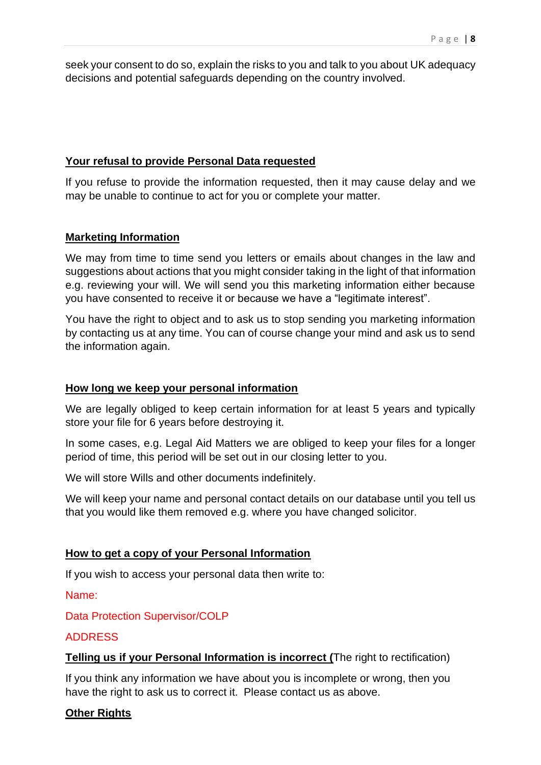seek your consent to do so, explain the risks to you and talk to you about UK adequacy decisions and potential safeguards depending on the country involved.

#### **Your refusal to provide Personal Data requested**

If you refuse to provide the information requested, then it may cause delay and we may be unable to continue to act for you or complete your matter.

#### **Marketing Information**

We may from time to time send you letters or emails about changes in the law and suggestions about actions that you might consider taking in the light of that information e.g. reviewing your will. We will send you this marketing information either because you have consented to receive it or because we have a "legitimate interest".

You have the right to object and to ask us to stop sending you marketing information by contacting us at any time. You can of course change your mind and ask us to send the information again.

#### **How long we keep your personal information**

We are legally obliged to keep certain information for at least 5 years and typically store your file for 6 years before destroying it.

In some cases, e.g. Legal Aid Matters we are obliged to keep your files for a longer period of time, this period will be set out in our closing letter to you.

We will store Wills and other documents indefinitely.

We will keep your name and personal contact details on our database until you tell us that you would like them removed e.g. where you have changed solicitor.

#### **How to get a copy of your Personal Information**

If you wish to access your personal data then write to:

Name:

Data Protection Supervisor/COLP

#### ADDRESS

#### **Telling us if your Personal Information is incorrect (**The right to rectification)

If you think any information we have about you is incomplete or wrong, then you have the right to ask us to correct it. Please contact us as above.

#### **Other Rights**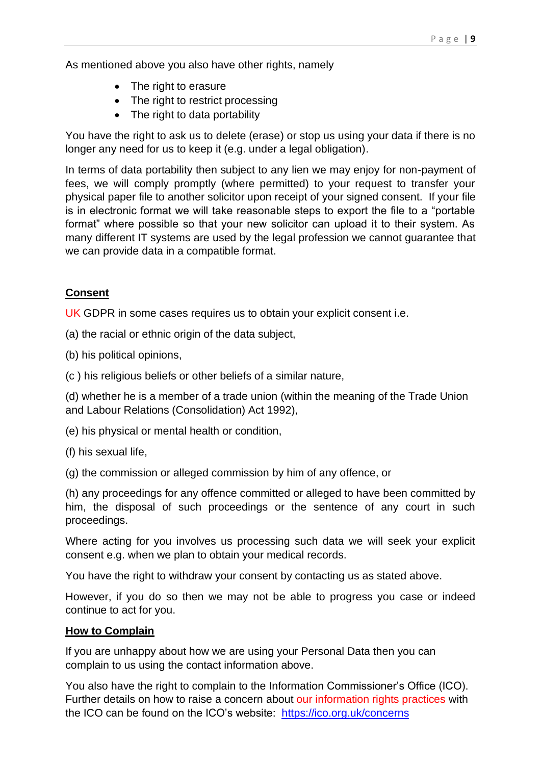As mentioned above you also have other rights, namely

- The right to erasure
- The right to restrict processing
- The right to data portability

You have the right to ask us to delete (erase) or stop us using your data if there is no longer any need for us to keep it (e.g. under a legal obligation).

In terms of data portability then subject to any lien we may enjoy for non-payment of fees, we will comply promptly (where permitted) to your request to transfer your physical paper file to another solicitor upon receipt of your signed consent. If your file is in electronic format we will take reasonable steps to export the file to a "portable format" where possible so that your new solicitor can upload it to their system. As many different IT systems are used by the legal profession we cannot guarantee that we can provide data in a compatible format.

# **Consent**

UK GDPR in some cases requires us to obtain your explicit consent *i.e.* 

(a) the racial or ethnic origin of the data subject,

- (b) his political opinions,
- (c ) his religious beliefs or other beliefs of a similar nature,

(d) whether he is a member of a trade union (within the meaning of the Trade Union and Labour Relations (Consolidation) Act 1992),

(e) his physical or mental health or condition,

(f) his sexual life,

(g) the commission or alleged commission by him of any offence, or

(h) any proceedings for any offence committed or alleged to have been committed by him, the disposal of such proceedings or the sentence of any court in such proceedings.

Where acting for you involves us processing such data we will seek your explicit consent e.g. when we plan to obtain your medical records.

You have the right to withdraw your consent by contacting us as stated above.

However, if you do so then we may not be able to progress you case or indeed continue to act for you.

#### **How to Complain**

If you are unhappy about how we are using your Personal Data then you can complain to us using the contact information above.

You also have the right to complain to the Information Commissioner's Office (ICO). Further details on how to raise a concern about our information rights practices with the ICO can be found on the ICO's website: <https://ico.org.uk/concerns>